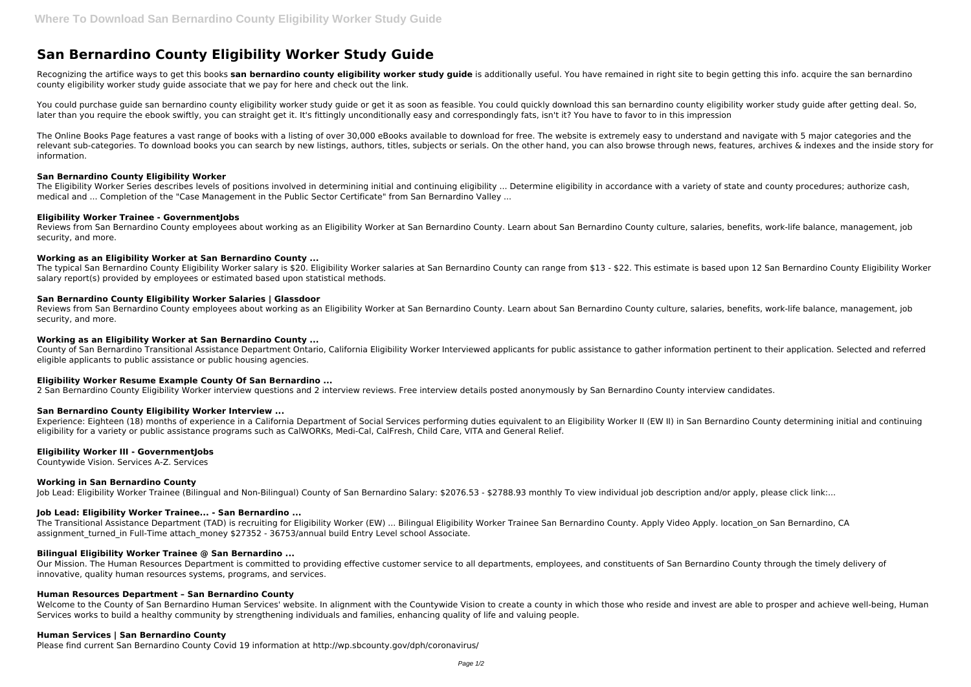# **San Bernardino County Eligibility Worker Study Guide**

Recognizing the artifice ways to get this books san bernardino county eligibility worker study guide is additionally useful. You have remained in right site to begin getting this info. acquire the san bernardino county eligibility worker study guide associate that we pay for here and check out the link.

You could purchase guide san bernardino county eligibility worker study guide or get it as soon as feasible. You could quickly download this san bernardino county eligibility worker study guide after getting deal. So, later than you require the ebook swiftly, you can straight get it. It's fittingly unconditionally easy and correspondingly fats, isn't it? You have to favor to in this impression

The Eligibility Worker Series describes levels of positions involved in determining initial and continuing eligibility ... Determine eligibility in accordance with a variety of state and county procedures; authorize cash, medical and ... Completion of the "Case Management in the Public Sector Certificate" from San Bernardino Valley ...

Reviews from San Bernardino County employees about working as an Eligibility Worker at San Bernardino County. Learn about San Bernardino County culture, salaries, benefits, work-life balance, management, job security, and more.

The Online Books Page features a vast range of books with a listing of over 30,000 eBooks available to download for free. The website is extremely easy to understand and navigate with 5 major categories and the relevant sub-categories. To download books you can search by new listings, authors, titles, subjects or serials. On the other hand, you can also browse through news, features, archives & indexes and the inside story for information.

# **San Bernardino County Eligibility Worker**

County of San Bernardino Transitional Assistance Department Ontario, California Eligibility Worker Interviewed applicants for public assistance to gather information pertinent to their application. Selected and referred eligible applicants to public assistance or public housing agencies.

# **Eligibility Worker Trainee - GovernmentJobs**

Experience: Eighteen (18) months of experience in a California Department of Social Services performing duties equivalent to an Eligibility Worker II (EW II) in San Bernardino County determining initial and continuing eligibility for a variety or public assistance programs such as CalWORKs, Medi-Cal, CalFresh, Child Care, VITA and General Relief.

# **Working as an Eligibility Worker at San Bernardino County ...**

The Transitional Assistance Department (TAD) is recruiting for Eligibility Worker (EW) ... Bilingual Eligibility Worker Trainee San Bernardino County. Apply Video Apply. location\_on San Bernardino, CA assignment turned in Full-Time attach money \$27352 - 36753/annual build Entry Level school Associate.

The typical San Bernardino County Eligibility Worker salary is \$20. Eligibility Worker salaries at San Bernardino County can range from \$13 - \$22. This estimate is based upon 12 San Bernardino County Eligibility Worker salary report(s) provided by employees or estimated based upon statistical methods.

# **San Bernardino County Eligibility Worker Salaries | Glassdoor**

Reviews from San Bernardino County employees about working as an Eligibility Worker at San Bernardino County. Learn about San Bernardino County culture, salaries, benefits, work-life balance, management, job security, and more.

Welcome to the County of San Bernardino Human Services' website. In alignment with the Countywide Vision to create a county in which those who reside and invest are able to prosper and achieve well-being, Human Services works to build a healthy community by strengthening individuals and families, enhancing quality of life and valuing people.

# **Working as an Eligibility Worker at San Bernardino County ...**

#### **Eligibility Worker Resume Example County Of San Bernardino ...**

2 San Bernardino County Eligibility Worker interview questions and 2 interview reviews. Free interview details posted anonymously by San Bernardino County interview candidates.

#### **San Bernardino County Eligibility Worker Interview ...**

#### **Eligibility Worker III - GovernmentJobs**

Countywide Vision. Services A-Z. Services

#### **Working in San Bernardino County**

Job Lead: Eligibility Worker Trainee (Bilingual and Non-Bilingual) County of San Bernardino Salary: \$2076.53 - \$2788.93 monthly To view individual job description and/or apply, please click link:...

#### **Job Lead: Eligibility Worker Trainee... - San Bernardino ...**

#### **Bilingual Eligibility Worker Trainee @ San Bernardino ...**

Our Mission. The Human Resources Department is committed to providing effective customer service to all departments, employees, and constituents of San Bernardino County through the timely delivery of innovative, quality human resources systems, programs, and services.

# **Human Resources Department – San Bernardino County**

#### **Human Services | San Bernardino County**

Please find current San Bernardino County Covid 19 information at http://wp.sbcounty.gov/dph/coronavirus/